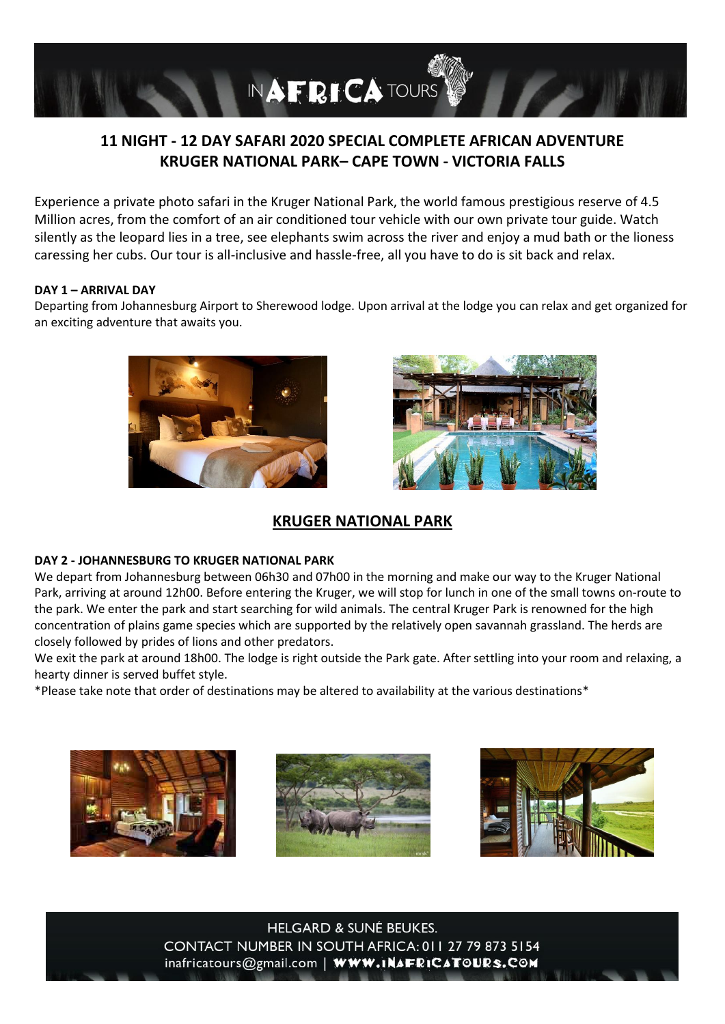

# **11 NIGHT - 12 DAY SAFARI 2020 SPECIAL COMPLETE AFRICAN ADVENTURE KRUGER NATIONAL PARK– CAPE TOWN - VICTORIA FALLS**

Experience a private photo safari in the Kruger National Park, the world famous prestigious reserve of 4.5 Million acres, from the comfort of an air conditioned tour vehicle with our own private tour guide. Watch silently as the leopard lies in a tree, see elephants swim across the river and enjoy a mud bath or the lioness caressing her cubs. Our tour is all-inclusive and hassle-free, all you have to do is sit back and relax.

### **DAY 1 – ARRIVAL DAY**

Departing from Johannesburg Airport to Sherewood lodge. Upon arrival at the lodge you can relax and get organized for an exciting adventure that awaits you.





# **KRUGER NATIONAL PARK**

# **DAY 2 - JOHANNESBURG TO KRUGER NATIONAL PARK**

We depart from Johannesburg between 06h30 and 07h00 in the morning and make our way to the Kruger National Park, arriving at around 12h00. Before entering the Kruger, we will stop for lunch in one of the small towns on-route to the park. We enter the park and start searching for wild animals. The central Kruger Park is renowned for the high concentration of plains game species which are supported by the relatively open savannah grassland. The herds are closely followed by prides of lions and other predators.

We exit the park at around 18h00. The lodge is right outside the Park gate. After settling into your room and relaxing, a hearty dinner is served buffet style.

\*Please take note that order of destinations may be altered to availability at the various destinations\*





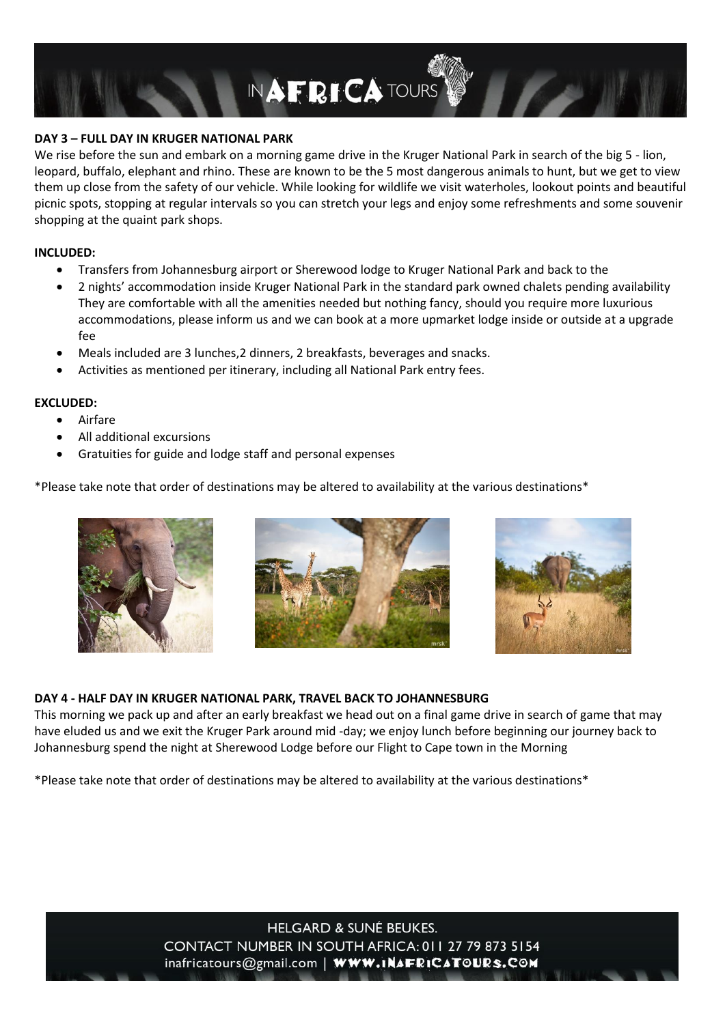

## **DAY 3 – FULL DAY IN KRUGER NATIONAL PARK**

We rise before the sun and embark on a morning game drive in the Kruger National Park in search of the big 5 - lion, leopard, buffalo, elephant and rhino. These are known to be the 5 most dangerous animals to hunt, but we get to view them up close from the safety of our vehicle. While looking for wildlife we visit waterholes, lookout points and beautiful picnic spots, stopping at regular intervals so you can stretch your legs and enjoy some refreshments and some souvenir shopping at the quaint park shops.

#### **INCLUDED:**

- Transfers from Johannesburg airport or Sherewood lodge to Kruger National Park and back to the
- 2 nights' accommodation inside Kruger National Park in the standard park owned chalets pending availability They are comfortable with all the amenities needed but nothing fancy, should you require more luxurious accommodations, please inform us and we can book at a more upmarket lodge inside or outside at a upgrade fee
- Meals included are 3 lunches,2 dinners, 2 breakfasts, beverages and snacks.
- Activities as mentioned per itinerary, including all National Park entry fees.

### **EXCLUDED:**

- Airfare
- All additional excursions
- Gratuities for guide and lodge staff and personal expenses

\*Please take note that order of destinations may be altered to availability at the various destinations\*







### **DAY 4 - HALF DAY IN KRUGER NATIONAL PARK, TRAVEL BACK TO JOHANNESBURG**

This morning we pack up and after an early breakfast we head out on a final game drive in search of game that may have eluded us and we exit the Kruger Park around mid -day; we enjoy lunch before beginning our journey back to Johannesburg spend the night at Sherewood Lodge before our Flight to Cape town in the Morning

\*Please take note that order of destinations may be altered to availability at the various destinations\*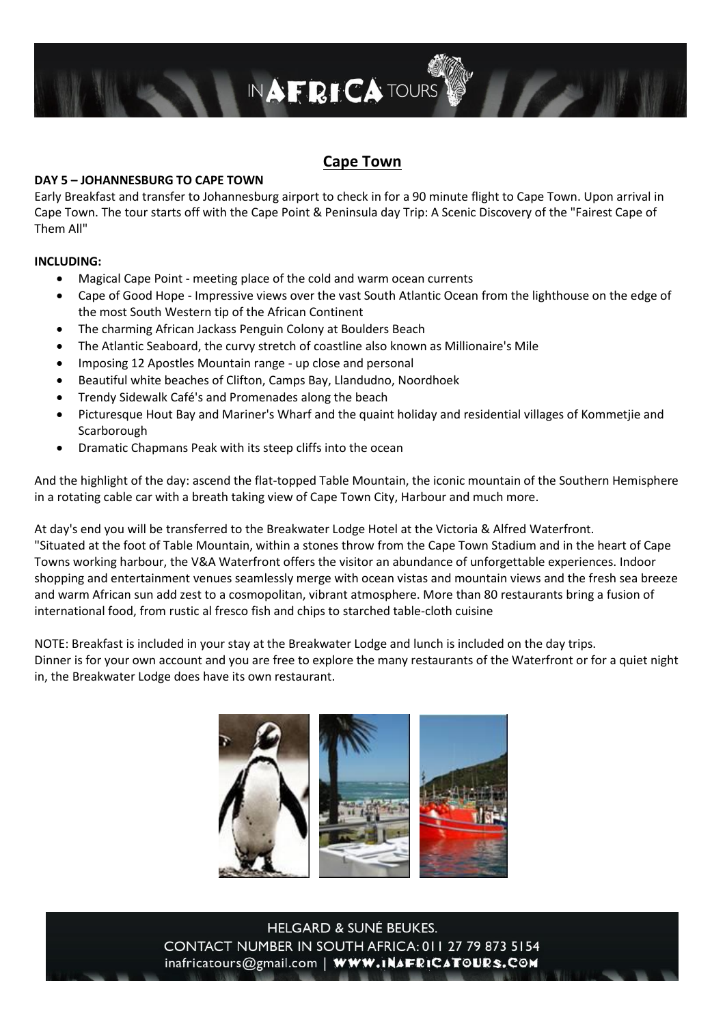

# **Cape Town**

### **DAY 5 – JOHANNESBURG TO CAPE TOWN**

Early Breakfast and transfer to Johannesburg airport to check in for a 90 minute flight to Cape Town. Upon arrival in Cape Town. The tour starts off with the Cape Point & Peninsula day Trip: A Scenic Discovery of the "Fairest Cape of Them All"

### **INCLUDING:**

- Magical Cape Point meeting place of the cold and warm ocean currents
- Cape of Good Hope Impressive views over the vast South Atlantic Ocean from the lighthouse on the edge of the most South Western tip of the African Continent
- The charming African Jackass Penguin Colony at Boulders Beach
- The Atlantic Seaboard, the curvy stretch of coastline also known as Millionaire's Mile
- Imposing 12 Apostles Mountain range up close and personal
- Beautiful white beaches of Clifton, Camps Bay, Llandudno, Noordhoek
- Trendy Sidewalk Café's and Promenades along the beach
- Picturesque Hout Bay and Mariner's Wharf and the quaint holiday and residential villages of Kommetjie and Scarborough
- Dramatic Chapmans Peak with its steep cliffs into the ocean

And the highlight of the day: ascend the flat-topped Table Mountain, the iconic mountain of the Southern Hemisphere in a rotating cable car with a breath taking view of Cape Town City, Harbour and much more.

At day's end you will be transferred to the Breakwater Lodge Hotel at the Victoria & Alfred Waterfront. "Situated at the foot of Table Mountain, within a stones throw from the Cape Town Stadium and in the heart of Cape Towns working harbour, the V&A Waterfront offers the visitor an abundance of unforgettable experiences. Indoor shopping and entertainment venues seamlessly merge with ocean vistas and mountain views and the fresh sea breeze and warm African sun add zest to a cosmopolitan, vibrant atmosphere. More than 80 restaurants bring a fusion of international food, from rustic al fresco fish and chips to starched table-cloth cuisine

NOTE: Breakfast is included in your stay at the Breakwater Lodge and lunch is included on the day trips. Dinner is for your own account and you are free to explore the many restaurants of the Waterfront or for a quiet night in, the Breakwater Lodge does have its own restaurant.

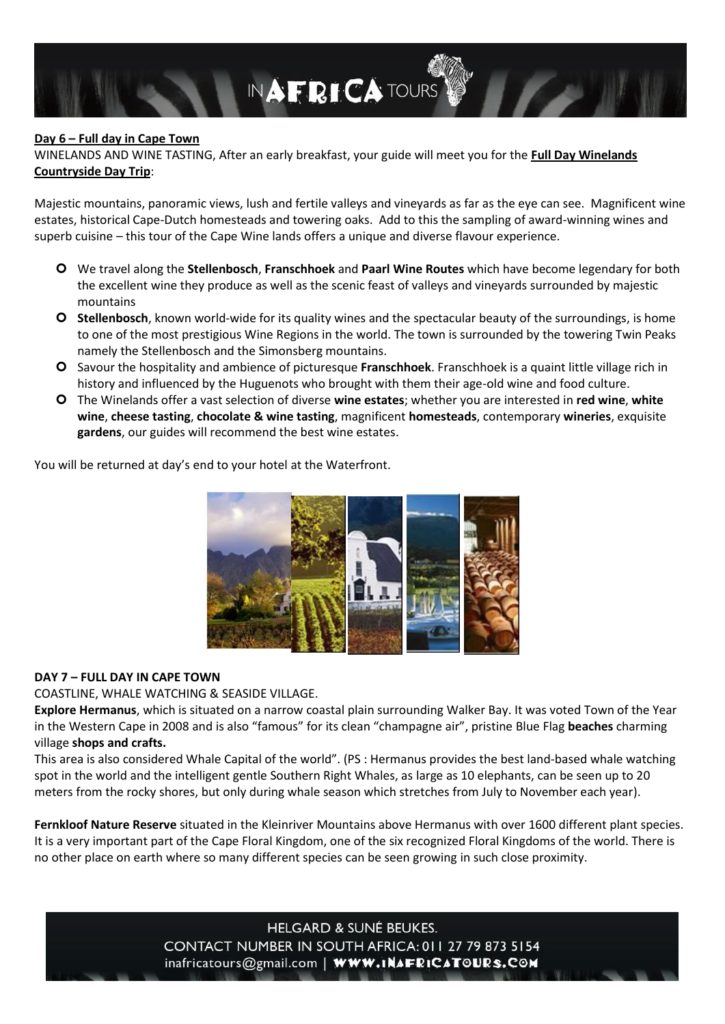

### **Day 6 – Full day in Cape Town**

WINELANDS AND WINE TASTING, After an early breakfast, your guide will meet you for the **Full Day Winelands Countryside Day Trip**:

Majestic mountains, panoramic views, lush and fertile valleys and vineyards as far as the eye can see. Magnificent wine estates, historical Cape-Dutch homesteads and towering oaks. Add to this the sampling of award-winning wines and superb cuisine – this tour of the Cape Wine lands offers a unique and diverse flavour experience.

- We travel along the **Stellenbosch**, **Franschhoek** and **Paarl Wine Routes** which have become legendary for both the excellent wine they produce as well as the scenic feast of valleys and vineyards surrounded by majestic mountains
- **Stellenbosch**, known world-wide for its quality wines and the spectacular beauty of the surroundings, is home to one of the most prestigious Wine Regions in the world. The town is surrounded by the towering Twin Peaks namely the Stellenbosch and the Simonsberg mountains.
- Savour the hospitality and ambience of picturesque **Franschhoek**. Franschhoek is a quaint little village rich in history and influenced by the Huguenots who brought with them their age-old wine and food culture.
- The Winelands offer a vast selection of diverse **wine estates**; whether you are interested in **red wine**, **white wine**, **cheese tasting**, **chocolate & wine tasting**, magnificent **homesteads**, contemporary **wineries**, exquisite **gardens**, our guides will recommend the best wine estates.

You will be returned at day's end to your hotel at the Waterfront.



### **DAY 7 – FULL DAY IN CAPE TOWN**

COASTLINE, WHALE WATCHING & SEASIDE VILLAGE.

**Explore Hermanus**, which is situated on a narrow coastal plain surrounding Walker Bay. It was voted Town of the Year in the Western Cape in 2008 and is also "famous" for its clean "champagne air", pristine Blue Flag **beaches** charming village **shops and crafts.** 

This area is also considered Whale Capital of the world". (PS : Hermanus provides the best land-based whale watching spot in the world and the intelligent gentle Southern Right Whales, as large as 10 elephants, can be seen up to 20 meters from the rocky shores, but only during whale season which stretches from July to November each year).

**Fernkloof Nature Reserve** situated in the Kleinriver Mountains above Hermanus with over 1600 different plant species. It is a very important part of the Cape Floral Kingdom, one of the six recognized Floral Kingdoms of the world. There is no other place on earth where so many different species can be seen growing in such close proximity.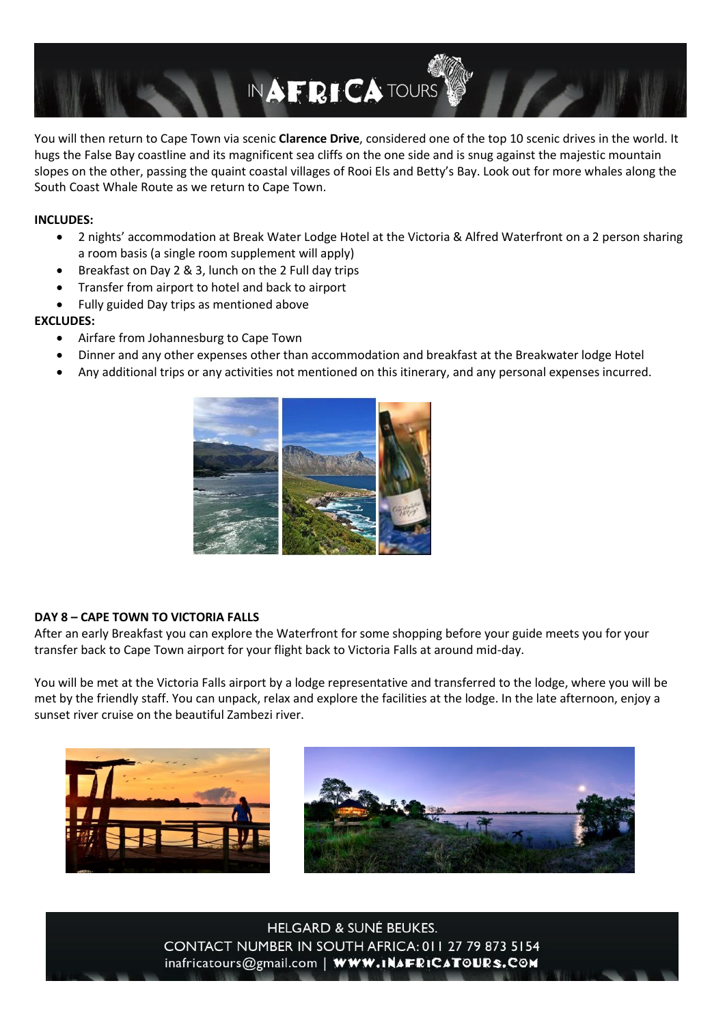

You will then return to Cape Town via scenic **Clarence Drive**, considered one of the top 10 scenic drives in the world. It hugs the False Bay coastline and its magnificent sea cliffs on the one side and is snug against the majestic mountain slopes on the other, passing the quaint coastal villages of Rooi Els and Betty's Bay. Look out for more whales along the South Coast Whale Route as we return to Cape Town.

## **INCLUDES:**

- 2 nights' accommodation at Break Water Lodge Hotel at the Victoria & Alfred Waterfront on a 2 person sharing a room basis (a single room supplement will apply)
- Breakfast on Day 2 & 3, lunch on the 2 Full day trips
- Transfer from airport to hotel and back to airport
- Fully guided Day trips as mentioned above

### **EXCLUDES:**

- Airfare from Johannesburg to Cape Town
- Dinner and any other expenses other than accommodation and breakfast at the Breakwater lodge Hotel
- Any additional trips or any activities not mentioned on this itinerary, and any personal expenses incurred.



# **DAY 8 – CAPE TOWN TO VICTORIA FALLS**

After an early Breakfast you can explore the Waterfront for some shopping before your guide meets you for your transfer back to Cape Town airport for your flight back to Victoria Falls at around mid-day.

You will be met at the Victoria Falls airport by a lodge representative and transferred to the lodge, where you will be met by the friendly staff. You can unpack, relax and explore the facilities at the lodge. In the late afternoon, enjoy a sunset river cruise on the beautiful Zambezi river.



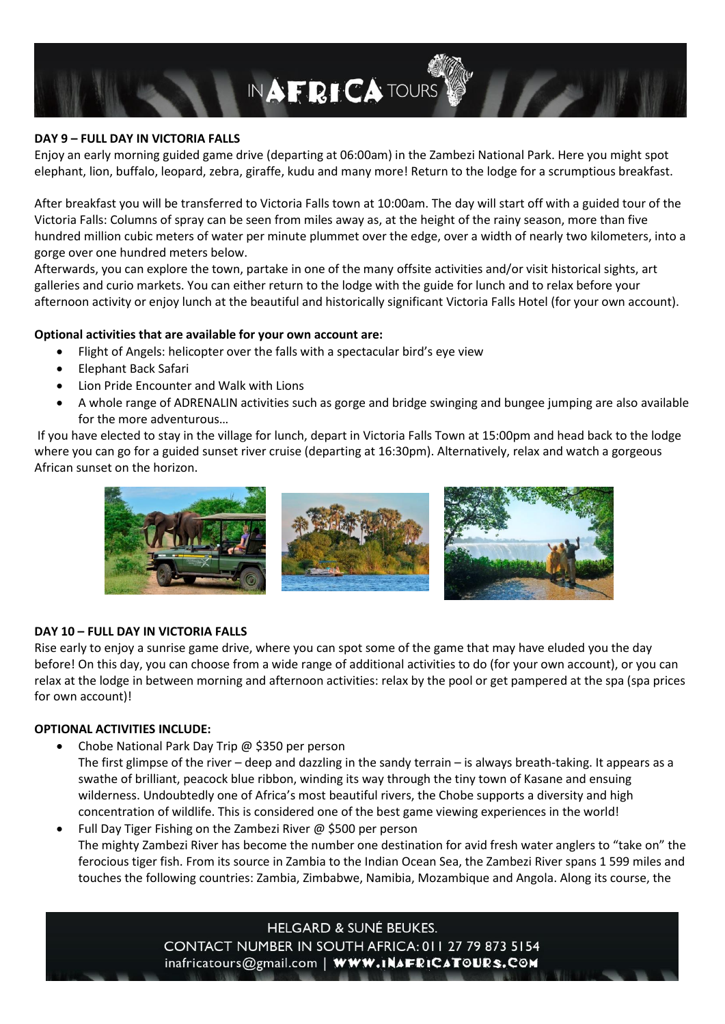

### **DAY 9 – FULL DAY IN VICTORIA FALLS**

Enjoy an early morning guided game drive (departing at 06:00am) in the Zambezi National Park. Here you might spot elephant, lion, buffalo, leopard, zebra, giraffe, kudu and many more! Return to the lodge for a scrumptious breakfast.

After breakfast you will be transferred to Victoria Falls town at 10:00am. The day will start off with a guided tour of the Victoria Falls: Columns of spray can be seen from miles away as, at the height of the rainy season, more than five hundred million cubic meters of water per minute plummet over the edge, over a width of nearly two kilometers, into a gorge over one hundred meters below.

Afterwards, you can explore the town, partake in one of the many offsite activities and/or visit historical sights, art galleries and curio markets. You can either return to the lodge with the guide for lunch and to relax before your afternoon activity or enjoy lunch at the beautiful and historically significant Victoria Falls Hotel (for your own account).

### **Optional activities that are available for your own account are:**

- Flight of Angels: helicopter over the falls with a spectacular bird's eye view
- Elephant Back Safari
- Lion Pride Encounter and Walk with Lions
- A whole range of ADRENALIN activities such as gorge and bridge swinging and bungee jumping are also available for the more adventurous…

If you have elected to stay in the village for lunch, depart in Victoria Falls Town at 15:00pm and head back to the lodge where you can go for a guided sunset river cruise (departing at 16:30pm). Alternatively, relax and watch a gorgeous African sunset on the horizon.



### **DAY 10 – FULL DAY IN VICTORIA FALLS**

Rise early to enjoy a sunrise game drive, where you can spot some of the game that may have eluded you the day before! On this day, you can choose from a wide range of additional activities to do (for your own account), or you can relax at the lodge in between morning and afternoon activities: relax by the pool or get pampered at the spa (spa prices for own account)!

#### **OPTIONAL ACTIVITIES INCLUDE:**

- Chobe National Park Day Trip @ \$350 per person
- The first glimpse of the river deep and dazzling in the sandy terrain is always breath-taking. It appears as a swathe of brilliant, peacock blue ribbon, winding its way through the tiny town of Kasane and ensuing wilderness. Undoubtedly one of Africa's most beautiful rivers, the Chobe supports a diversity and high concentration of wildlife. This is considered one of the best game viewing experiences in the world!
- Full Day Tiger Fishing on the Zambezi River @ \$500 per person The mighty Zambezi River has become the number one destination for avid fresh water anglers to "take on" the ferocious tiger fish. From its source in Zambia to the Indian Ocean Sea, the Zambezi River spans 1 599 miles and touches the following countries: Zambia, Zimbabwe, Namibia, Mozambique and Angola. Along its course, the